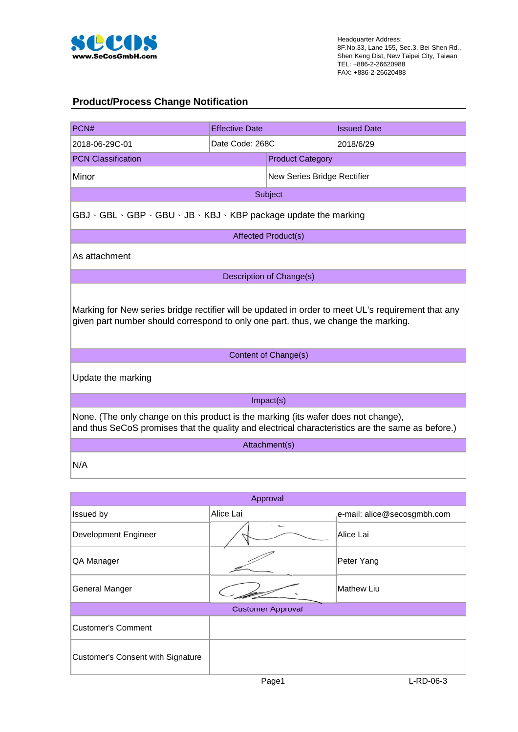

## **Product/Process Change Notification**

| PCN#                                                                                                                                                                                     | <b>Effective Date</b> |                             | <b>Issued Date</b> |  |  |  |
|------------------------------------------------------------------------------------------------------------------------------------------------------------------------------------------|-----------------------|-----------------------------|--------------------|--|--|--|
| 2018-06-29C-01                                                                                                                                                                           | Date Code: 268C       |                             | 2018/6/29          |  |  |  |
| <b>PCN Classification</b>                                                                                                                                                                |                       | <b>Product Category</b>     |                    |  |  |  |
| Minor                                                                                                                                                                                    |                       | New Series Bridge Rectifier |                    |  |  |  |
| Subject                                                                                                                                                                                  |                       |                             |                    |  |  |  |
| GBJ · GBL · GBP · GBU · JB · KBJ · KBP package update the marking                                                                                                                        |                       |                             |                    |  |  |  |
| <b>Affected Product(s)</b>                                                                                                                                                               |                       |                             |                    |  |  |  |
| As attachment                                                                                                                                                                            |                       |                             |                    |  |  |  |
| Description of Change(s)                                                                                                                                                                 |                       |                             |                    |  |  |  |
| Marking for New series bridge rectifier will be updated in order to meet UL's requirement that any<br>given part number should correspond to only one part. thus, we change the marking. |                       |                             |                    |  |  |  |
| Content of Change(s)                                                                                                                                                                     |                       |                             |                    |  |  |  |
| Update the marking                                                                                                                                                                       |                       |                             |                    |  |  |  |
| Impact(s)                                                                                                                                                                                |                       |                             |                    |  |  |  |
| None. (The only change on this product is the marking (its wafer does not change),<br>and thus SeCoS promises that the quality and electrical characteristics are the same as before.)   |                       |                             |                    |  |  |  |
| Attachment(s)                                                                                                                                                                            |                       |                             |                    |  |  |  |
| N/A                                                                                                                                                                                      |                       |                             |                    |  |  |  |

| Approval                          |           |                             |  |  |  |  |
|-----------------------------------|-----------|-----------------------------|--|--|--|--|
| Issued by                         | Alice Lai | e-mail: alice@secosgmbh.com |  |  |  |  |
| Development Engineer              |           | Alice Lai                   |  |  |  |  |
| QA Manager                        |           | Peter Yang                  |  |  |  |  |
| General Manger                    |           | Mathew Liu                  |  |  |  |  |
| <b>Customer Approval</b>          |           |                             |  |  |  |  |
| Customer's Comment                |           |                             |  |  |  |  |
| Customer's Consent with Signature |           |                             |  |  |  |  |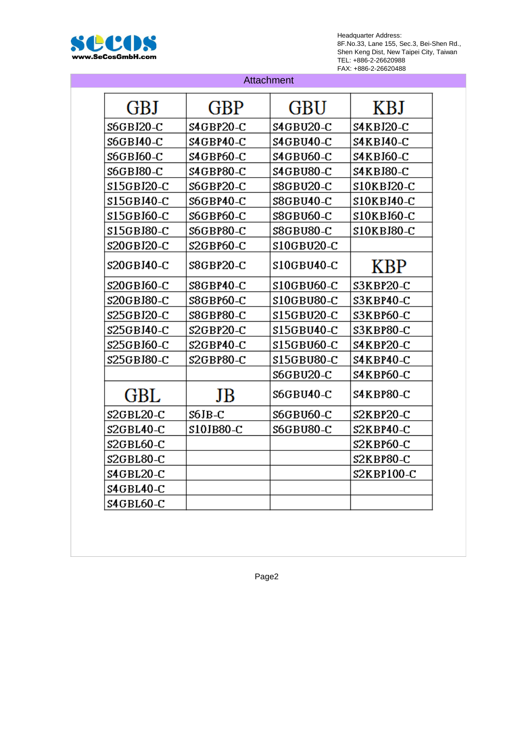

| Attachment            |             |             |             |  |  |
|-----------------------|-------------|-------------|-------------|--|--|
| <b>GBJ</b>            | GBP         | GBU         | KBJ         |  |  |
| S6GBJ20-C             | \$4GBP20-C  | S4GBU20-C   | S4KBJ20-C   |  |  |
| S6GBJ40-C             | S4GBP40-C   | S4GBU40-C   | S4KBJ40-C   |  |  |
| S6GBJ60-C             | S4GBP60-C   | S4GBU60-C   | S4KBJ60-C   |  |  |
| S6GBJ80-C             | S4GBP80-C   | S4GBU80-C   | S4KBJ80-C   |  |  |
| \$15GBJ20-C           | S6GBP20-C   | S8GBU20-C   | \$10KBJ20-C |  |  |
| \$15GBJ40-C           | S6GBP40-C   | S8GBU40-C   | S10KBJ40-C  |  |  |
| \$15GBJ60-C           | S6GBP60-C   | S8GBU60-C   | \$10KBJ60-C |  |  |
| \$15GBJ80-C           | S6GBP80-C   | S8GBU80-C   | \$10KBJ80-C |  |  |
| \$20GBJ20-C           | \$2GBP60-C  | \$10GBU20-C |             |  |  |
| S20GBJ40-C            | S8GBP20-C   | \$10GBU40-C | <b>KBP</b>  |  |  |
| S20GBJ60-C            | S8GBP40-C   | \$10GBU60-C | S3KBP20-C   |  |  |
| \$20GBJ80-C           | S8GBP60-C   | \$10GBU80-C | S3KBP40-C   |  |  |
| \$25GBJ20-C           | S8GBP80-C   | \$15GBU20-C | S3KBP60-C   |  |  |
| \$25GBJ40-C           | $S2GBP20-C$ | \$15GBU40-C | S3KBP80-C   |  |  |
| \$25GBJ60-C           | S2GBP40-C   | \$15GBU60-C | S4KBP20-C   |  |  |
| \$25GBJ80-C           | S2GBP80-C   | \$15GBU80-C | S4KBP40-C   |  |  |
|                       |             | S6GBU20-C   | S4KBP60-C   |  |  |
| GBL                   | JB          | S6GBU40-C   | S4KBP80-C   |  |  |
| $S2GBL20-C$           | S6JB-C      | S6GBU60-C   | S2KBP20-C   |  |  |
| S2GBL40-C             | \$10JB80-C  | S6GBU80-C   | S2KBP40-C   |  |  |
| S <sub>2GBL60-C</sub> |             |             | S2KBP60-C   |  |  |
| S2GBL80-C             |             |             | S2KBP80-C   |  |  |
| S4GBL20-C             |             |             | S2KBP100-C  |  |  |
| S4GBL40-C             |             |             |             |  |  |
| S4GBL60-C             |             |             |             |  |  |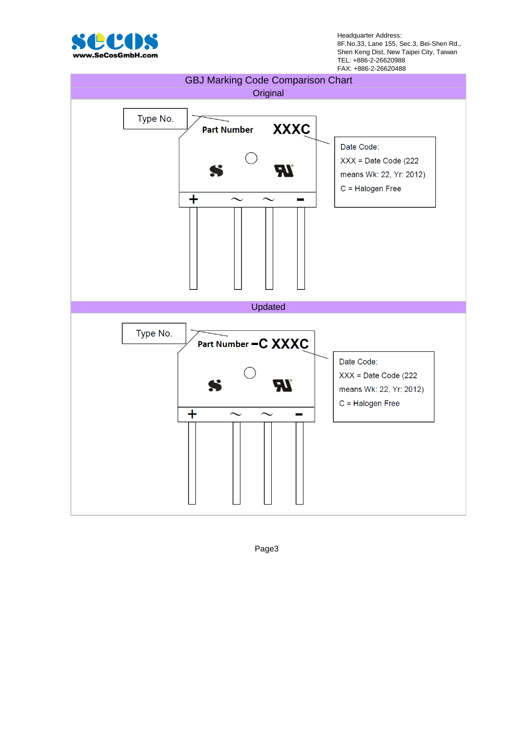

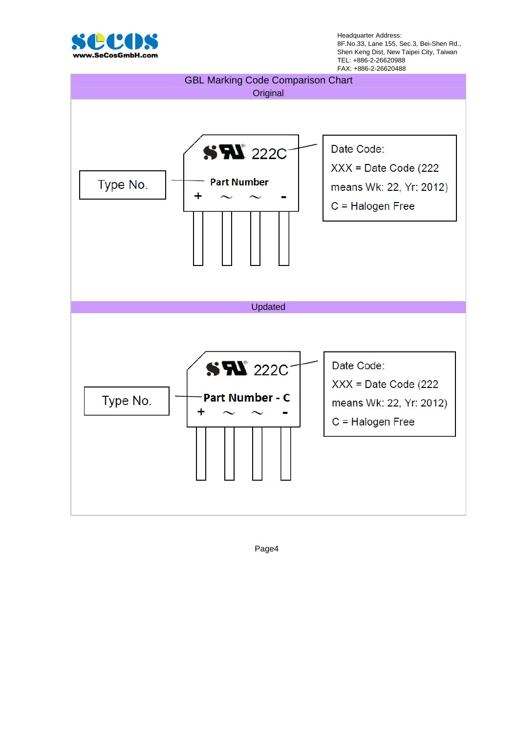

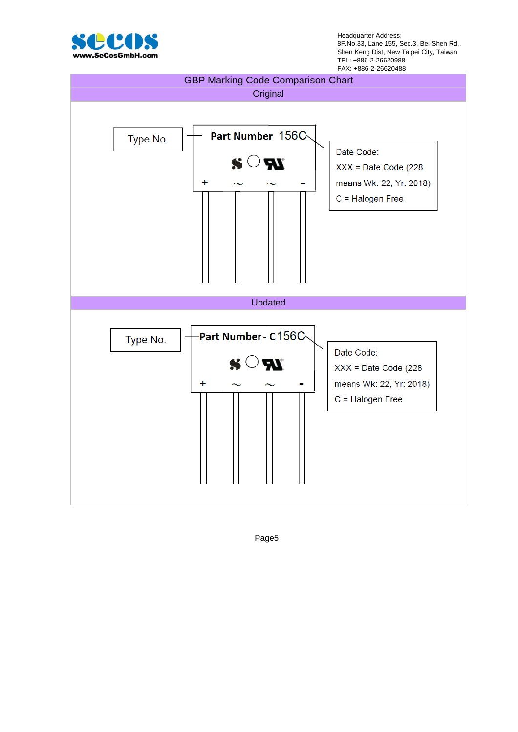

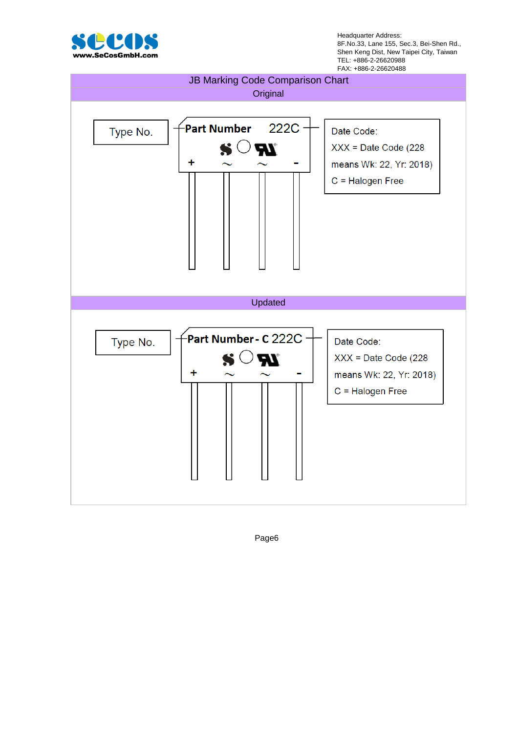

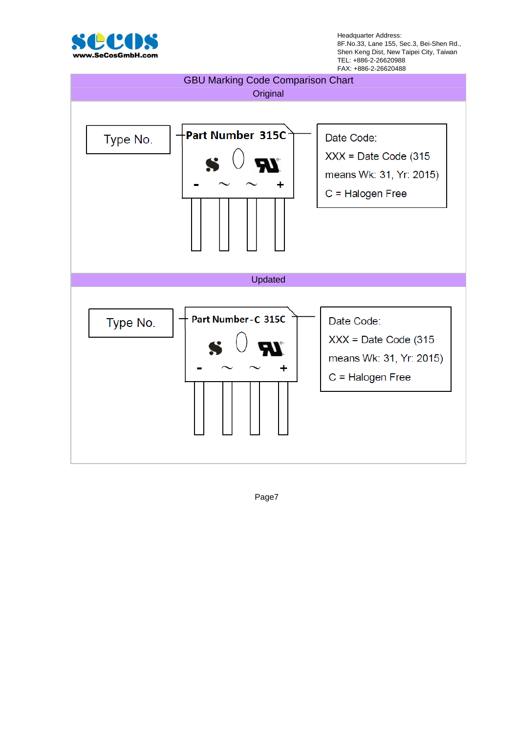

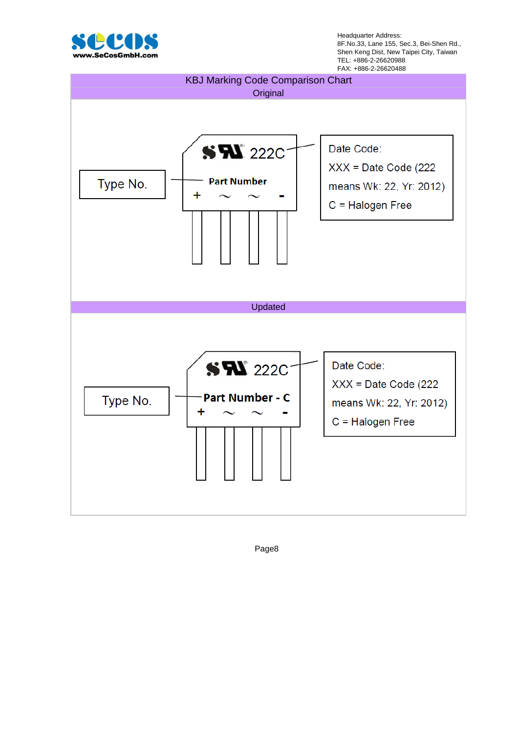